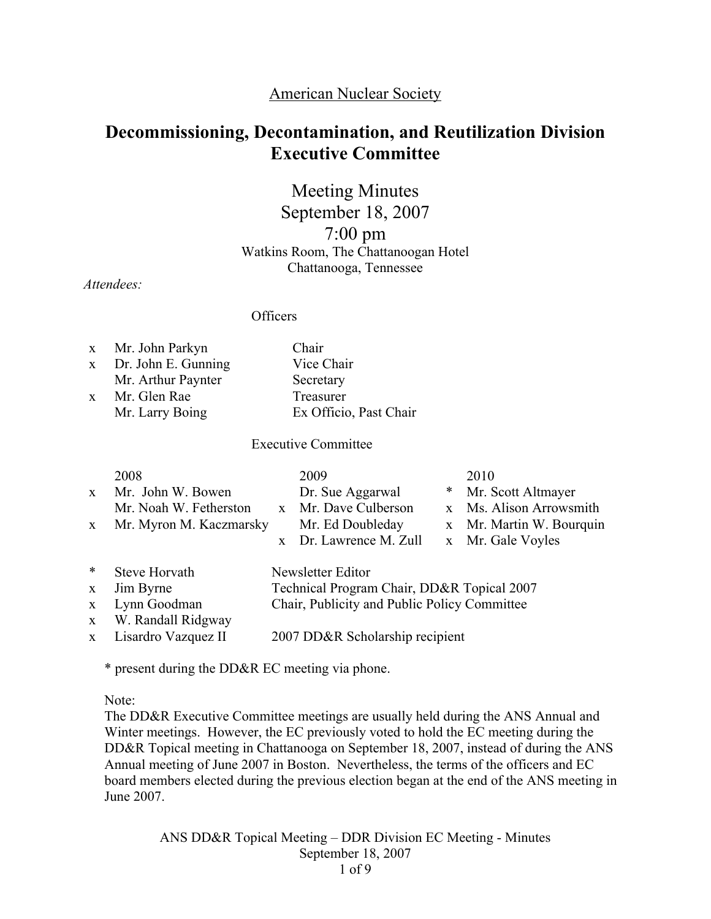# American Nuclear Society

# Decommissioning, Decontamination, and Reutilization Division Executive Committee

Meeting Minutes September 18, 2007 7:00 pm Watkins Room, The Chattanoogan Hotel Chattanooga, Tennessee

*Attendees:*

**Officers** 

|              | x Mr. John Parkyn   | Chair                  |
|--------------|---------------------|------------------------|
| $\mathbf{X}$ | Dr. John E. Gunning | Vice Chair             |
|              | Mr. Arthur Paynter  | Secretary              |
| $\mathbf{x}$ | Mr. Glen Rae        | Treasurer              |
|              | Mr. Larry Boing     | Ex Officio, Past Chair |

Executive Committee

| $\mathbf{X}$<br>X | 2008<br>Mr. John W. Bowen<br>Mr. Noah W. Fetherston<br>Mr. Myron M. Kaczmarsky | $\mathbf{x}$ | 2009<br>Dr. Sue Aggarwal<br>x Mr. Dave Culberson<br>Mr. Ed Doubleday<br>Dr. Lawrence M. Zull | ∗ | 2010<br>Mr. Scott Altmayer<br>x Ms. Alison Arrowsmith<br>x Mr. Martin W. Bourquin<br>x Mr. Gale Voyles |
|-------------------|--------------------------------------------------------------------------------|--------------|----------------------------------------------------------------------------------------------|---|--------------------------------------------------------------------------------------------------------|
| $\ast$            | Steve Horvath                                                                  |              | Newsletter Editor                                                                            |   |                                                                                                        |
| X                 | Jim Byrne                                                                      |              | Technical Program Chair, DD&R Topical 2007                                                   |   |                                                                                                        |
| X                 | Lynn Goodman                                                                   |              | Chair, Publicity and Public Policy Committee                                                 |   |                                                                                                        |
| X                 | W. Randall Ridgway                                                             |              |                                                                                              |   |                                                                                                        |
| X                 | Lisardro Vazquez II                                                            |              | 2007 DD&R Scholarship recipient                                                              |   |                                                                                                        |

\* present during the DD&R EC meeting via phone.

Note:

The DD&R Executive Committee meetings are usually held during the ANS Annual and Winter meetings. However, the EC previously voted to hold the EC meeting during the DD&R Topical meeting in Chattanooga on September 18, 2007, instead of during the ANS Annual meeting of June 2007 in Boston. Nevertheless, the terms of the officers and EC board members elected during the previous election began at the end of the ANS meeting in June 2007.

> ANS DD&R Topical Meeting – DDR Division EC Meeting - Minutes September 18, 2007 1 of 9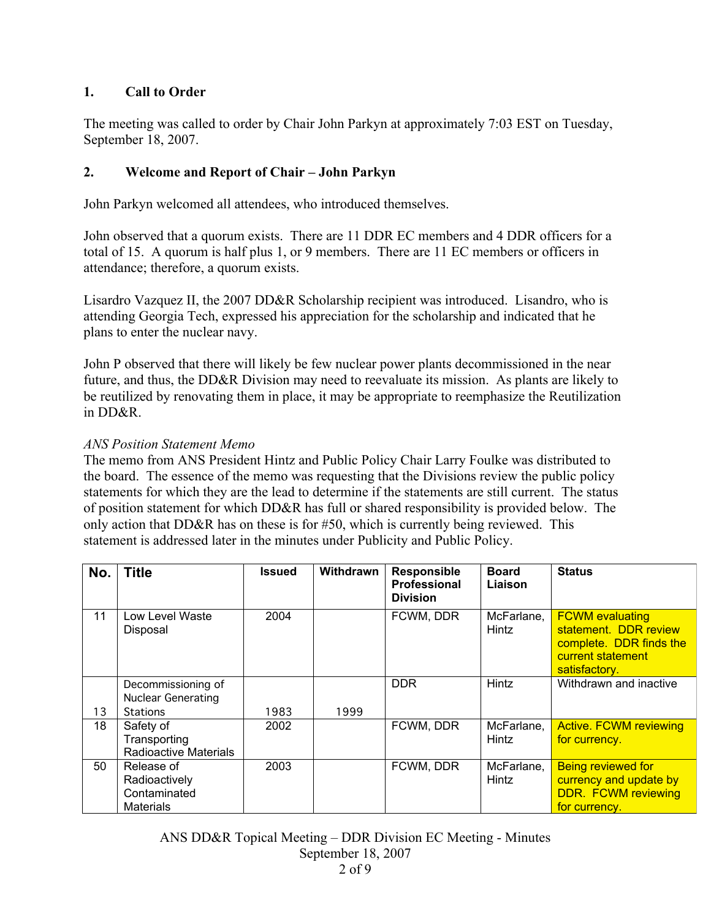# 1. Call to Order

The meeting was called to order by Chair John Parkyn at approximately 7:03 EST on Tuesday, September 18, 2007.

# 2. Welcome and Report of Chair – John Parkyn

John Parkyn welcomed all attendees, who introduced themselves.

John observed that a quorum exists. There are 11 DDR EC members and 4 DDR officers for a total of 15. A quorum is half plus 1, or 9 members. There are 11 EC members or officers in attendance; therefore, a quorum exists.

Lisardro Vazquez II, the 2007 DD&R Scholarship recipient was introduced. Lisandro, who is attending Georgia Tech, expressed his appreciation for the scholarship and indicated that he plans to enter the nuclear navy.

John P observed that there will likely be few nuclear power plants decommissioned in the near future, and thus, the DD&R Division may need to reevaluate its mission. As plants are likely to be reutilized by renovating them in place, it may be appropriate to reemphasize the Reutilization in DD&R.

#### *ANS Position Statement Memo*

The memo from ANS President Hintz and Public Policy Chair Larry Foulke was distributed to the board. The essence of the memo was requesting that the Divisions review the public policy statements for which they are the lead to determine if the statements are still current. The status of position statement for which DD&R has full or shared responsibility is provided below. The only action that DD&R has on these is for #50, which is currently being reviewed. This statement is addressed later in the minutes under Publicity and Public Policy.

| No. | <b>Title</b>                                                    | <b>Issued</b> | <b>Withdrawn</b> | Responsible<br>Professional<br><b>Division</b> | <b>Board</b><br>Liaison | <b>Status</b>                                                                                                    |
|-----|-----------------------------------------------------------------|---------------|------------------|------------------------------------------------|-------------------------|------------------------------------------------------------------------------------------------------------------|
| 11  | Low Level Waste<br>Disposal                                     | 2004          |                  | FCWM, DDR                                      | McFarlane,<br>Hintz     | <b>FCWM</b> evaluating<br>statement. DDR review<br>complete. DDR finds the<br>current statement<br>satisfactory. |
|     | Decommissioning of<br><b>Nuclear Generating</b>                 |               |                  | <b>DDR</b>                                     | Hintz                   | Withdrawn and inactive                                                                                           |
| 13  | <b>Stations</b>                                                 | 1983          | 1999             |                                                |                         |                                                                                                                  |
| 18  | Safety of<br>Transporting<br><b>Radioactive Materials</b>       | 2002          |                  | FCWM, DDR                                      | McFarlane,<br>Hintz     | <b>Active. FCWM reviewing</b><br>for currency.                                                                   |
| 50  | Release of<br>Radioactively<br>Contaminated<br><b>Materials</b> | 2003          |                  | FCWM, DDR                                      | McFarlane,<br>Hintz     | <b>Being reviewed for</b><br>currency and update by<br><b>DDR. FCWM reviewing</b><br>for currency.               |

ANS DD&R Topical Meeting – DDR Division EC Meeting - Minutes September 18, 2007 2 of 9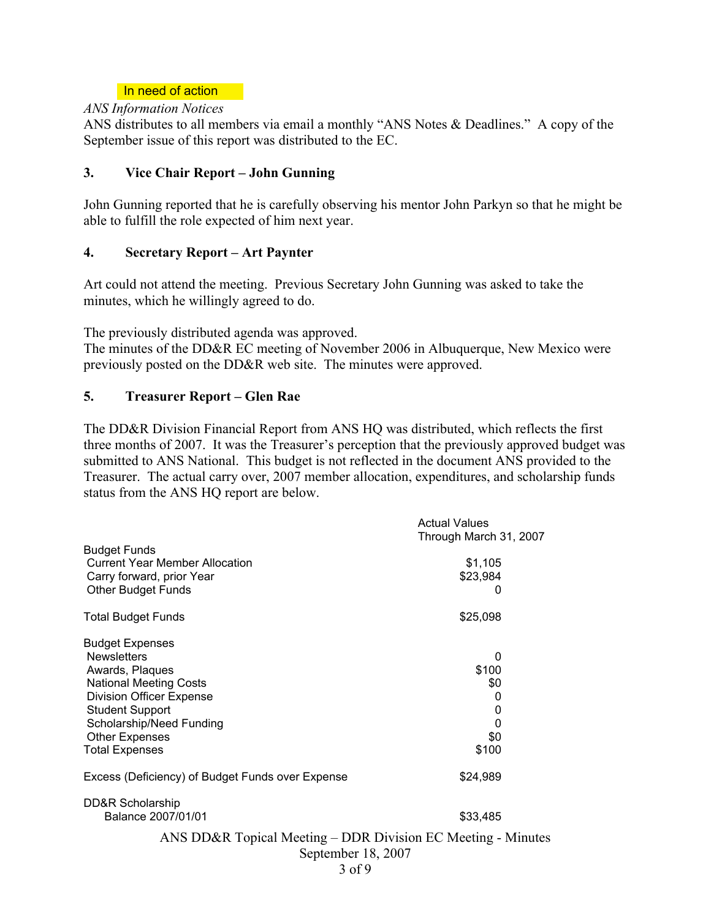#### In need of action

#### *ANS Information Notices*

ANS distributes to all members via email a monthly "ANS Notes & Deadlines." A copy of the September issue of this report was distributed to the EC.

### 3. Vice Chair Report – John Gunning

John Gunning reported that he is carefully observing his mentor John Parkyn so that he might be able to fulfill the role expected of him next year.

#### 4. Secretary Report – Art Paynter

Art could not attend the meeting. Previous Secretary John Gunning was asked to take the minutes, which he willingly agreed to do.

The previously distributed agenda was approved.

The minutes of the DD&R EC meeting of November 2006 in Albuquerque, New Mexico were previously posted on the DD&R web site. The minutes were approved.

# 5. Treasurer Report – Glen Rae

The DD&R Division Financial Report from ANS HQ was distributed, which reflects the first three months of 2007. It was the Treasurer's perception that the previously approved budget was submitted to ANS National. This budget is not reflected in the document ANS provided to the Treasurer. The actual carry over, 2007 member allocation, expenditures, and scholarship funds status from the ANS HQ report are below.

|                                                              | <b>Actual Values</b><br>Through March 31, 2007               |
|--------------------------------------------------------------|--------------------------------------------------------------|
| <b>Budget Funds</b><br><b>Current Year Member Allocation</b> | \$1,105                                                      |
| Carry forward, prior Year                                    | \$23,984                                                     |
| <b>Other Budget Funds</b>                                    | 0                                                            |
| <b>Total Budget Funds</b>                                    | \$25,098                                                     |
| <b>Budget Expenses</b>                                       |                                                              |
| <b>Newsletters</b>                                           | 0                                                            |
| Awards, Plaques                                              | \$100                                                        |
| <b>National Meeting Costs</b>                                | \$0                                                          |
| <b>Division Officer Expense</b>                              | 0                                                            |
| <b>Student Support</b>                                       | 0                                                            |
| Scholarship/Need Funding                                     | 0                                                            |
| <b>Other Expenses</b>                                        | \$0                                                          |
| <b>Total Expenses</b>                                        | \$100                                                        |
| Excess (Deficiency) of Budget Funds over Expense             | \$24,989                                                     |
| DD&R Scholarship                                             |                                                              |
| Balance 2007/01/01                                           | \$33,485                                                     |
|                                                              | ANS DD&R Topical Meeting – DDR Division EC Meeting - Minutes |
|                                                              | September 18, 2007                                           |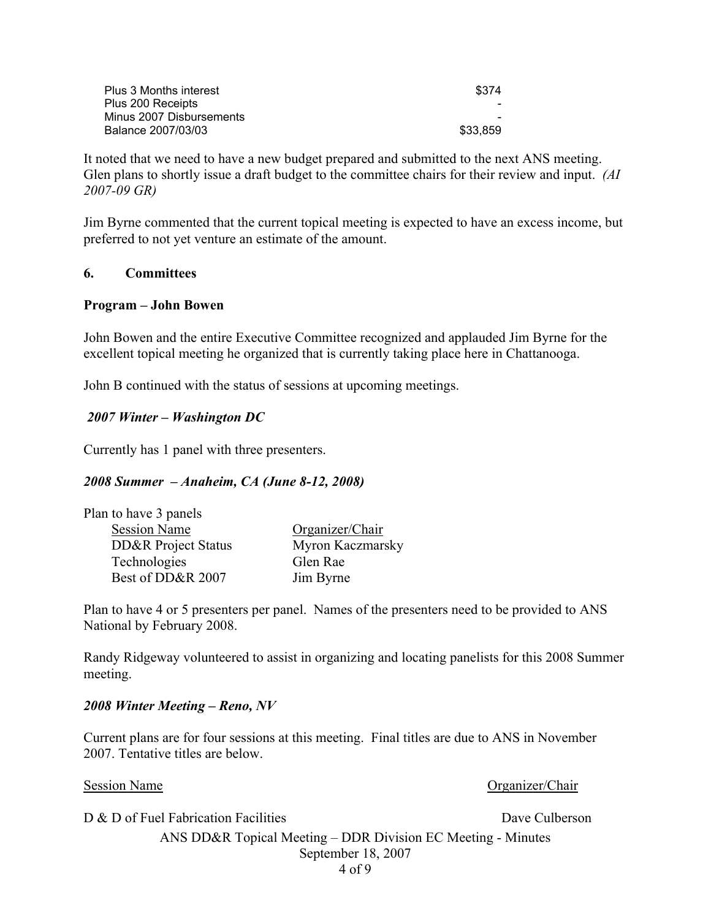| Plus 3 Months interest   | \$374    |
|--------------------------|----------|
| Plus 200 Receipts        |          |
| Minus 2007 Disbursements |          |
| Balance 2007/03/03       | \$33,859 |

It noted that we need to have a new budget prepared and submitted to the next ANS meeting. Glen plans to shortly issue a draft budget to the committee chairs for their review and input. *(AI 2007-09 GR)*

Jim Byrne commented that the current topical meeting is expected to have an excess income, but preferred to not yet venture an estimate of the amount.

#### 6. Committees

#### Program – John Bowen

John Bowen and the entire Executive Committee recognized and applauded Jim Byrne for the excellent topical meeting he organized that is currently taking place here in Chattanooga.

John B continued with the status of sessions at upcoming meetings.

#### *2007 Winter – Washington DC*

Currently has 1 panel with three presenters.

#### *2008 Summer – Anaheim, CA (June 8-12, 2008)*

| Plan to have 3 panels |                  |
|-----------------------|------------------|
| <b>Session Name</b>   | Organizer/Chair  |
| DD&R Project Status   | Myron Kaczmarsky |
| Technologies          | Glen Rae         |
| Best of DD&R 2007     | Jim Byrne        |

Plan to have 4 or 5 presenters per panel. Names of the presenters need to be provided to ANS National by February 2008.

Randy Ridgeway volunteered to assist in organizing and locating panelists for this 2008 Summer meeting.

#### *2008 Winter Meeting – Reno, NV*

Current plans are for four sessions at this meeting. Final titles are due to ANS in November 2007. Tentative titles are below.

#### Session Name **Organizer/Chair Organizer/Chair**

D & D of Fuel Fabrication Facilities Dave Culberson

ANS DD&R Topical Meeting – DDR Division EC Meeting - Minutes September 18, 2007 4 of 9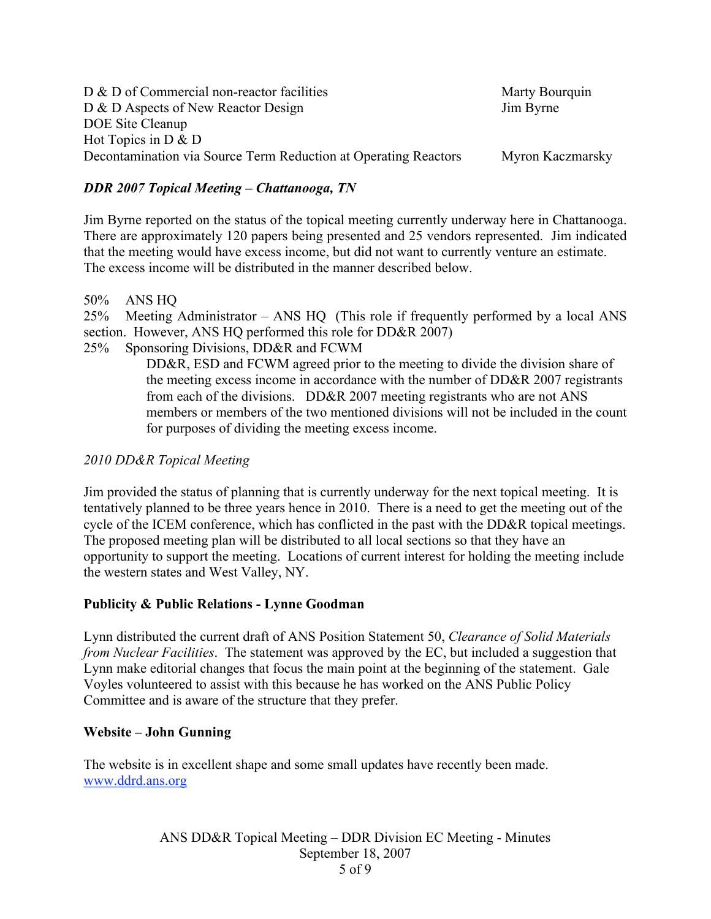| $D \& D$ of Commercial non-reactor facilities                   | Marty Bourquin   |
|-----------------------------------------------------------------|------------------|
| D & D Aspects of New Reactor Design                             | Jim Byrne        |
| DOE Site Cleanup                                                |                  |
| Hot Topics in $D \& D$                                          |                  |
| Decontamination via Source Term Reduction at Operating Reactors | Myron Kaczmarsky |

# *DDR 2007 Topical Meeting – Chattanooga, TN*

Jim Byrne reported on the status of the topical meeting currently underway here in Chattanooga. There are approximately 120 papers being presented and 25 vendors represented. Jim indicated that the meeting would have excess income, but did not want to currently venture an estimate. The excess income will be distributed in the manner described below.

50% ANS HQ

25% Meeting Administrator – ANS HQ (This role if frequently performed by a local ANS section. However, ANS HQ performed this role for DD&R 2007)

25% Sponsoring Divisions, DD&R and FCWM

DD&R, ESD and FCWM agreed prior to the meeting to divide the division share of the meeting excess income in accordance with the number of DD&R 2007 registrants from each of the divisions. DD&R 2007 meeting registrants who are not ANS members or members of the two mentioned divisions will not be included in the count for purposes of dividing the meeting excess income.

# *2010 DD&R Topical Meeting*

Jim provided the status of planning that is currently underway for the next topical meeting. It is tentatively planned to be three years hence in 2010. There is a need to get the meeting out of the cycle of the ICEM conference, which has conflicted in the past with the DD&R topical meetings. The proposed meeting plan will be distributed to all local sections so that they have an opportunity to support the meeting. Locations of current interest for holding the meeting include the western states and West Valley, NY.

#### Publicity & Public Relations - Lynne Goodman

Lynn distributed the current draft of ANS Position Statement 50, *Clearance of Solid Materials from Nuclear Facilities*. The statement was approved by the EC, but included a suggestion that Lynn make editorial changes that focus the main point at the beginning of the statement. Gale Voyles volunteered to assist with this because he has worked on the ANS Public Policy Committee and is aware of the structure that they prefer.

#### Website – John Gunning

The website is in excellent shape and some small updates have recently been made. www.ddrd.ans.org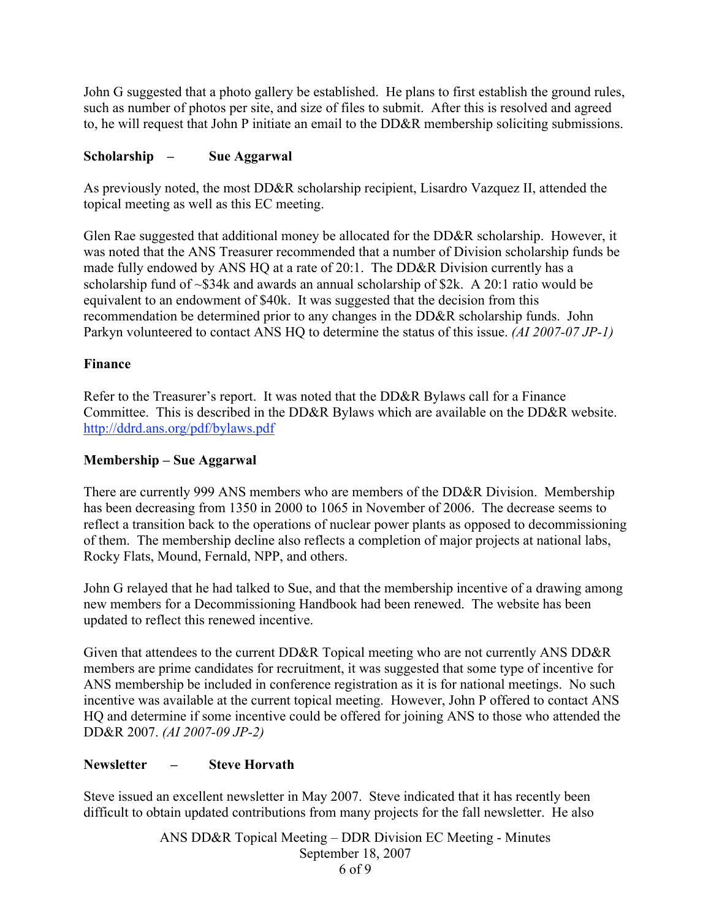John G suggested that a photo gallery be established. He plans to first establish the ground rules, such as number of photos per site, and size of files to submit. After this is resolved and agreed to, he will request that John P initiate an email to the DD&R membership soliciting submissions.

# Scholarship – Sue Aggarwal

As previously noted, the most DD&R scholarship recipient, Lisardro Vazquez II, attended the topical meeting as well as this EC meeting.

Glen Rae suggested that additional money be allocated for the DD&R scholarship. However, it was noted that the ANS Treasurer recommended that a number of Division scholarship funds be made fully endowed by ANS HQ at a rate of 20:1. The DD&R Division currently has a scholarship fund of ~\$34k and awards an annual scholarship of \$2k. A 20:1 ratio would be equivalent to an endowment of \$40k. It was suggested that the decision from this recommendation be determined prior to any changes in the DD&R scholarship funds. John Parkyn volunteered to contact ANS HQ to determine the status of this issue. *(AI 2007-07 JP-1)*

# Finance

Refer to the Treasurer's report. It was noted that the DD&R Bylaws call for a Finance Committee. This is described in the DD&R Bylaws which are available on the DD&R website. http://ddrd.ans.org/pdf/bylaws.pdf

# Membership – Sue Aggarwal

There are currently 999 ANS members who are members of the DD&R Division. Membership has been decreasing from 1350 in 2000 to 1065 in November of 2006. The decrease seems to reflect a transition back to the operations of nuclear power plants as opposed to decommissioning of them. The membership decline also reflects a completion of major projects at national labs, Rocky Flats, Mound, Fernald, NPP, and others.

John G relayed that he had talked to Sue, and that the membership incentive of a drawing among new members for a Decommissioning Handbook had been renewed. The website has been updated to reflect this renewed incentive.

Given that attendees to the current DD&R Topical meeting who are not currently ANS DD&R members are prime candidates for recruitment, it was suggested that some type of incentive for ANS membership be included in conference registration as it is for national meetings. No such incentive was available at the current topical meeting. However, John P offered to contact ANS HQ and determine if some incentive could be offered for joining ANS to those who attended the DD&R 2007. *(AI 2007-09 JP-2)*

# Newsletter – Steve Horvath

Steve issued an excellent newsletter in May 2007. Steve indicated that it has recently been difficult to obtain updated contributions from many projects for the fall newsletter. He also

> ANS DD&R Topical Meeting – DDR Division EC Meeting - Minutes September 18, 2007 6 of 9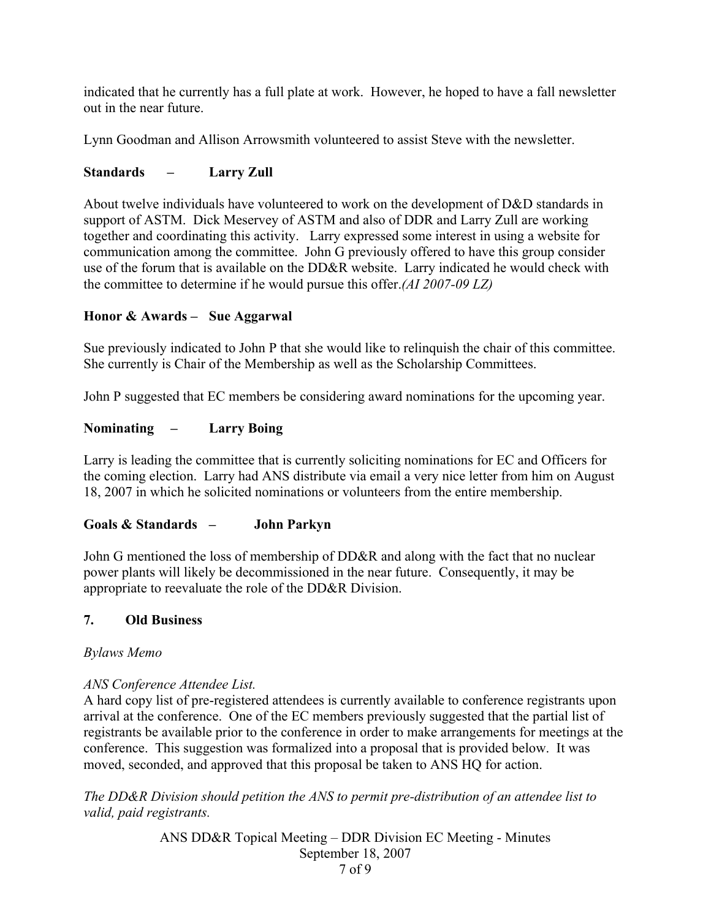indicated that he currently has a full plate at work. However, he hoped to have a fall newsletter out in the near future.

Lynn Goodman and Allison Arrowsmith volunteered to assist Steve with the newsletter.

# Standards – Larry Zull

About twelve individuals have volunteered to work on the development of D&D standards in support of ASTM. Dick Meservey of ASTM and also of DDR and Larry Zull are working together and coordinating this activity. Larry expressed some interest in using a website for communication among the committee. John G previously offered to have this group consider use of the forum that is available on the DD&R website. Larry indicated he would check with the committee to determine if he would pursue this offer.*(AI 2007-09 LZ)*

# Honor & Awards – Sue Aggarwal

Sue previously indicated to John P that she would like to relinquish the chair of this committee. She currently is Chair of the Membership as well as the Scholarship Committees.

John P suggested that EC members be considering award nominations for the upcoming year.

# Nominating – Larry Boing

Larry is leading the committee that is currently soliciting nominations for EC and Officers for the coming election. Larry had ANS distribute via email a very nice letter from him on August 18, 2007 in which he solicited nominations or volunteers from the entire membership.

# Goals & Standards – John Parkyn

John G mentioned the loss of membership of DD&R and along with the fact that no nuclear power plants will likely be decommissioned in the near future. Consequently, it may be appropriate to reevaluate the role of the DD&R Division.

# 7. Old Business

*Bylaws Memo*

# *ANS Conference Attendee List.*

A hard copy list of pre-registered attendees is currently available to conference registrants upon arrival at the conference. One of the EC members previously suggested that the partial list of registrants be available prior to the conference in order to make arrangements for meetings at the conference. This suggestion was formalized into a proposal that is provided below. It was moved, seconded, and approved that this proposal be taken to ANS HQ for action.

*The DD&R Division should petition the ANS to permit pre-distribution of an attendee list to valid, paid registrants.*

> ANS DD&R Topical Meeting – DDR Division EC Meeting - Minutes September 18, 2007 7 of 9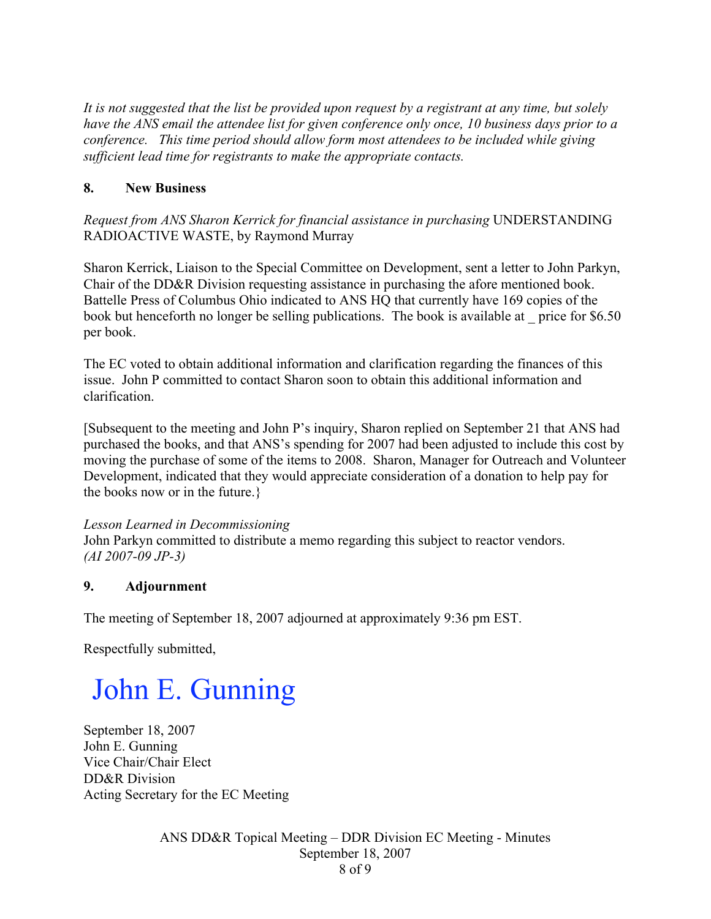*It is not suggested that the list be provided upon request by a registrant at any time, but solely have the ANS email the attendee list for given conference only once, 10 business days prior to a conference. This time period should allow form most attendees to be included while giving sufficient lead time for registrants to make the appropriate contacts.*

# 8. New Business

*Request from ANS Sharon Kerrick for financial assistance in purchasing* UNDERSTANDING RADIOACTIVE WASTE, by Raymond Murray

Sharon Kerrick, Liaison to the Special Committee on Development, sent a letter to John Parkyn, Chair of the DD&R Division requesting assistance in purchasing the afore mentioned book. Battelle Press of Columbus Ohio indicated to ANS HQ that currently have 169 copies of the book but henceforth no longer be selling publications. The book is available at \_ price for \$6.50 per book.

The EC voted to obtain additional information and clarification regarding the finances of this issue. John P committed to contact Sharon soon to obtain this additional information and clarification.

[Subsequent to the meeting and John P's inquiry, Sharon replied on September 21 that ANS had purchased the books, and that ANS's spending for 2007 had been adjusted to include this cost by moving the purchase of some of the items to 2008. Sharon, Manager for Outreach and Volunteer Development, indicated that they would appreciate consideration of a donation to help pay for the books now or in the future.}

# *Lesson Learned in Decommissioning*

John Parkyn committed to distribute a memo regarding this subject to reactor vendors. *(AI 2007-09 JP-3)*

# 9. Adjournment

The meeting of September 18, 2007 adjourned at approximately 9:36 pm EST.

Respectfully submitted,

# John E. Gunning

September 18, 2007 John E. Gunning Vice Chair/Chair Elect DD&R Division Acting Secretary for the EC Meeting

> ANS DD&R Topical Meeting – DDR Division EC Meeting - Minutes September 18, 2007 8 of 9